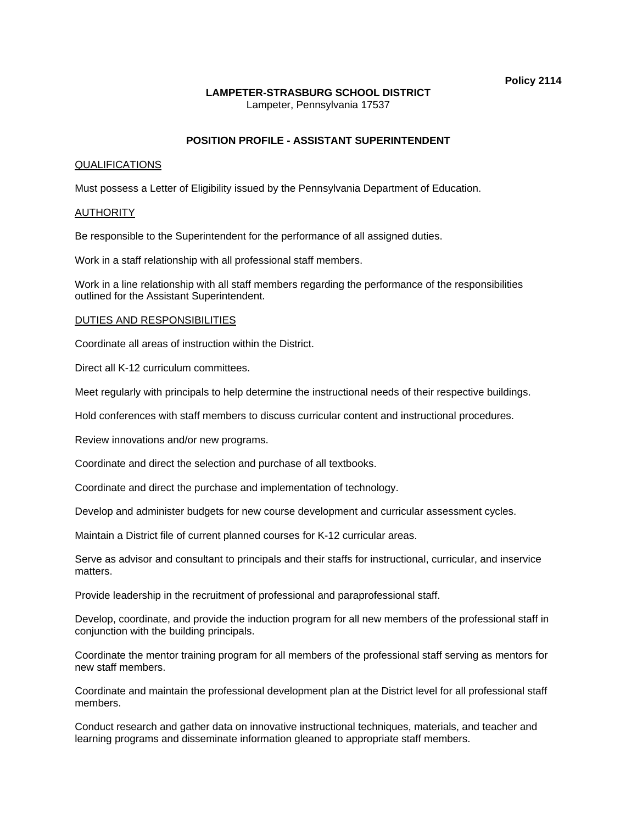# **LAMPETER-STRASBURG SCHOOL DISTRICT**

Lampeter, Pennsylvania 17537

# **POSITION PROFILE - ASSISTANT SUPERINTENDENT**

## QUALIFICATIONS

Must possess a Letter of Eligibility issued by the Pennsylvania Department of Education.

#### **AUTHORITY**

Be responsible to the Superintendent for the performance of all assigned duties.

Work in a staff relationship with all professional staff members.

Work in a line relationship with all staff members regarding the performance of the responsibilities outlined for the Assistant Superintendent.

#### DUTIES AND RESPONSIBILITIES

Coordinate all areas of instruction within the District.

Direct all K-12 curriculum committees.

Meet regularly with principals to help determine the instructional needs of their respective buildings.

Hold conferences with staff members to discuss curricular content and instructional procedures.

Review innovations and/or new programs.

Coordinate and direct the selection and purchase of all textbooks.

Coordinate and direct the purchase and implementation of technology.

Develop and administer budgets for new course development and curricular assessment cycles.

Maintain a District file of current planned courses for K-12 curricular areas.

Serve as advisor and consultant to principals and their staffs for instructional, curricular, and inservice matters.

Provide leadership in the recruitment of professional and paraprofessional staff.

Develop, coordinate, and provide the induction program for all new members of the professional staff in conjunction with the building principals.

Coordinate the mentor training program for all members of the professional staff serving as mentors for new staff members.

Coordinate and maintain the professional development plan at the District level for all professional staff members.

Conduct research and gather data on innovative instructional techniques, materials, and teacher and learning programs and disseminate information gleaned to appropriate staff members.